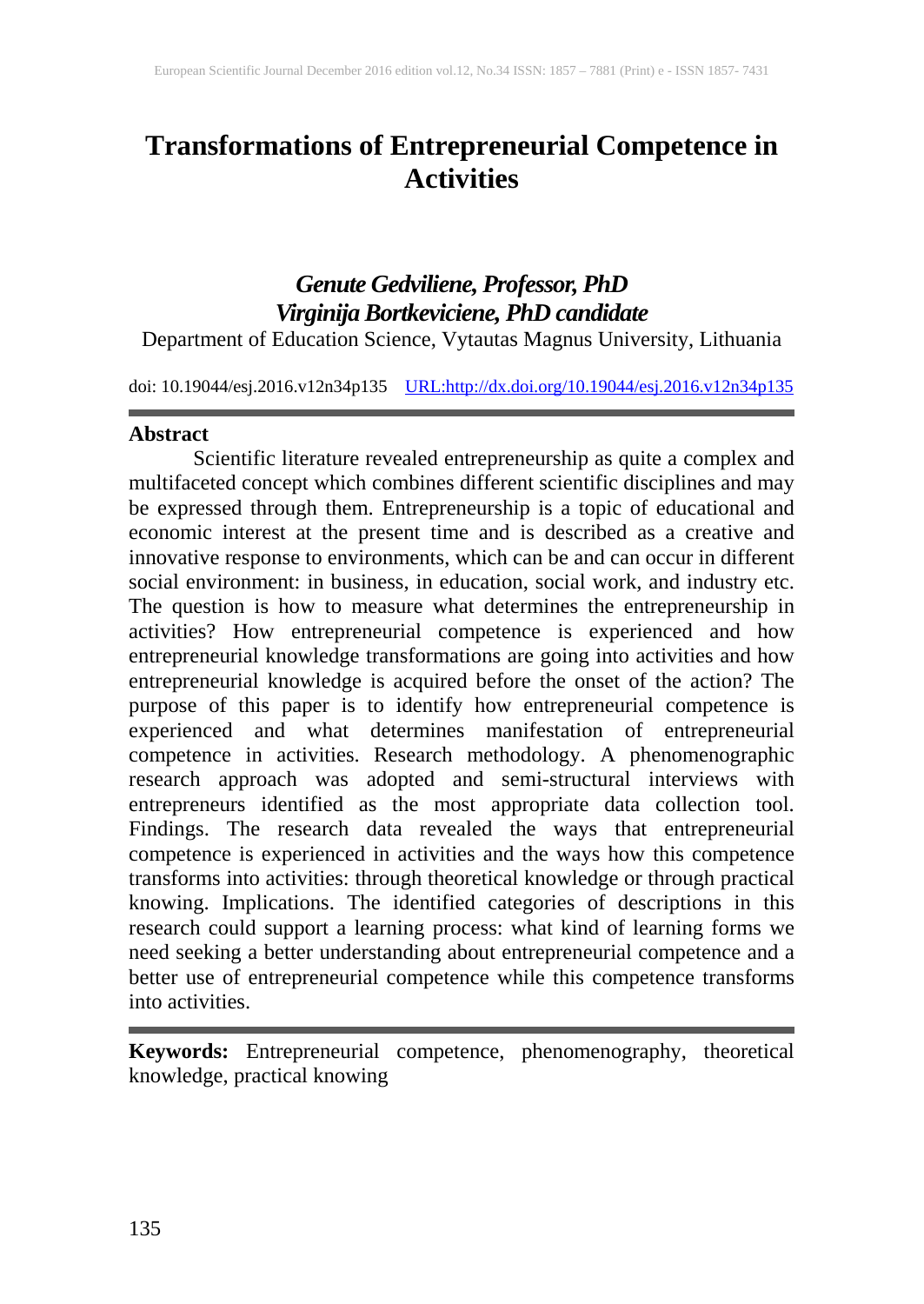# **Transformations of Entrepreneurial Competence in Activities**

## *Genute Gedviliene, Professor, PhD Virginija Bortkeviciene, PhD candidate*

Department of Education Science, Vytautas Magnus University, Lithuania

doi: 10.19044/esj.2016.v12n34p135 [URL:http://dx.doi.org/10.19044/esj.2016.v12n34p135](http://dx.doi.org/10.19044/esj.2016.v12n34p135)

### **Abstract**

Scientific literature revealed entrepreneurship as quite a complex and multifaceted concept which combines different scientific disciplines and may be expressed through them. Entrepreneurship is a topic of educational and economic interest at the present time and is described as a creative and innovative response to environments, which can be and can occur in different social environment: in business, in education, social work, and industry etc. The question is how to measure what determines the entrepreneurship in activities? How entrepreneurial competence is experienced and how entrepreneurial knowledge transformations are going into activities and how entrepreneurial knowledge is acquired before the onset of the action? The purpose of this paper is to identify how entrepreneurial competence is experienced and what determines manifestation of entrepreneurial competence in activities. Research methodology. A phenomenographic research approach was adopted and semi-structural interviews with entrepreneurs identified as the most appropriate data collection tool. Findings. The research data revealed the ways that entrepreneurial competence is experienced in activities and the ways how this competence transforms into activities: through theoretical knowledge or through practical knowing. Implications. The identified categories of descriptions in this research could support a learning process: what kind of learning forms we need seeking a better understanding about entrepreneurial competence and a better use of entrepreneurial competence while this competence transforms into activities.

**Keywords:** Entrepreneurial competence, phenomenography, theoretical knowledge, practical knowing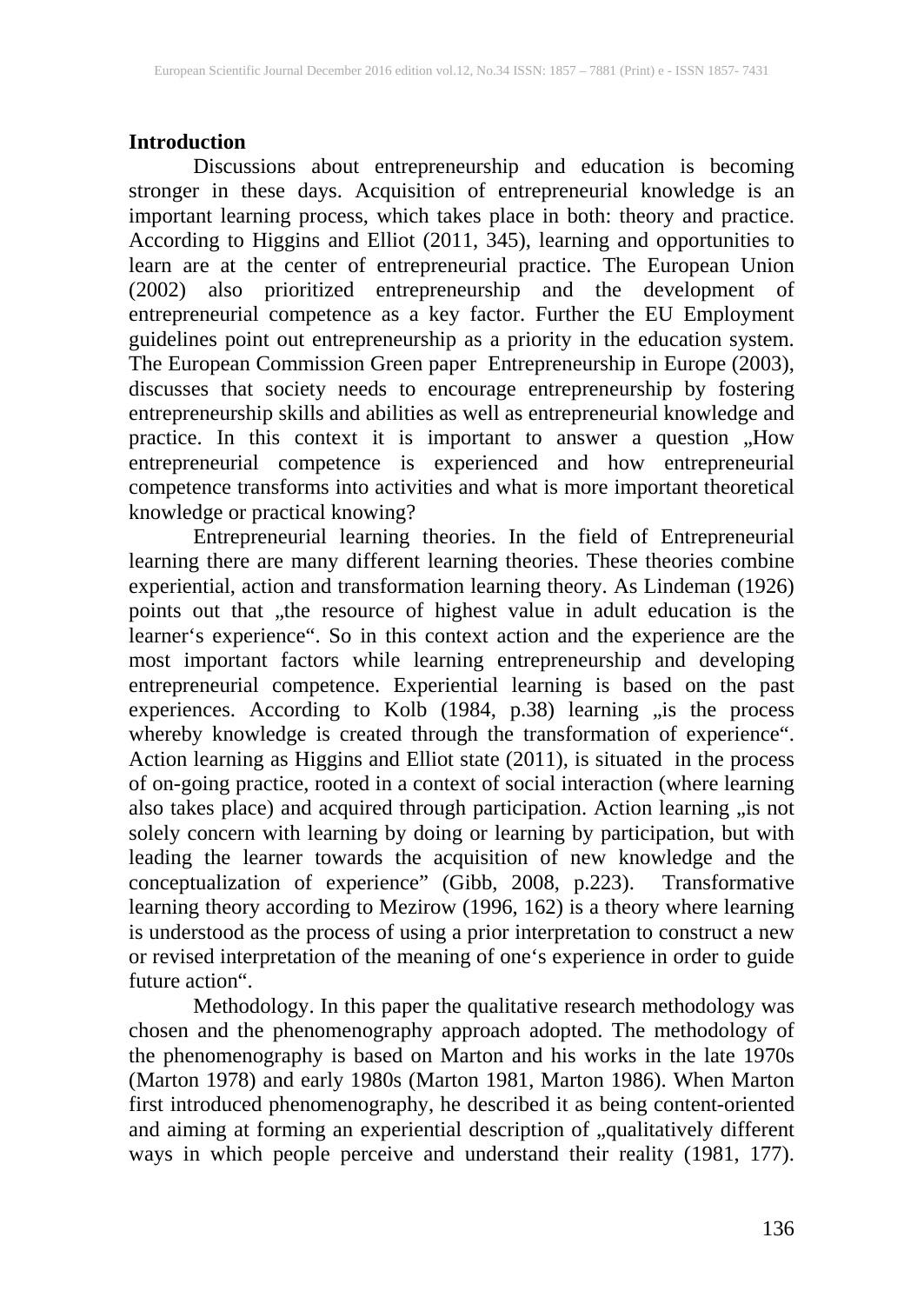### **Introduction**

Discussions about entrepreneurship and education is becoming stronger in these days. Acquisition of entrepreneurial knowledge is an important learning process, which takes place in both: theory and practice. According to Higgins and Elliot (2011, 345), learning and opportunities to learn are at the center of entrepreneurial practice. The European Union (2002) also prioritized entrepreneurship and the development of entrepreneurial competence as a key factor. Further the EU Employment guidelines point out entrepreneurship as a priority in the education system. The European Commission Green paper Entrepreneurship in Europe (2003), discusses that society needs to encourage entrepreneurship by fostering entrepreneurship skills and abilities as well as entrepreneurial knowledge and practice. In this context it is important to answer a question "How entrepreneurial competence is experienced and how entrepreneurial competence transforms into activities and what is more important theoretical knowledge or practical knowing?

Entrepreneurial learning theories. In the field of Entrepreneurial learning there are many different learning theories. These theories combine experiential, action and transformation learning theory. As Lindeman (1926) points out that "the resource of highest value in adult education is the learner's experience". So in this context action and the experience are the most important factors while learning entrepreneurship and developing entrepreneurial competence. Experiential learning is based on the past experiences. According to Kolb (1984, p.38) learning "is the process whereby knowledge is created through the transformation of experience". Action learning as Higgins and Elliot state (2011), is situated in the process of on-going practice, rooted in a context of social interaction (where learning also takes place) and acquired through participation. Action learning "is not solely concern with learning by doing or learning by participation, but with leading the learner towards the acquisition of new knowledge and the conceptualization of experience" (Gibb, 2008, p.223). Transformative learning theory according to Mezirow (1996, 162) is a theory where learning is understood as the process of using a prior interpretation to construct a new is understood as the process of using a prior interpretation to construct a new<br>or revised interpretation of the meaning of one's experience in order to guide future action".

Methodology. In this paper the qualitative research methodology was chosen and the phenomenography approach adopted. The methodology of the phenomenography is based on Marton and his works in the late 1970s (Marton 1978) and early 1980s (Marton 1981, Marton 1986). When Marton first introduced phenomenography, he described it as being content-oriented and aiming at forming an experiential description of "qualitatively different ways in which people perceive and understand their reality (1981, 177).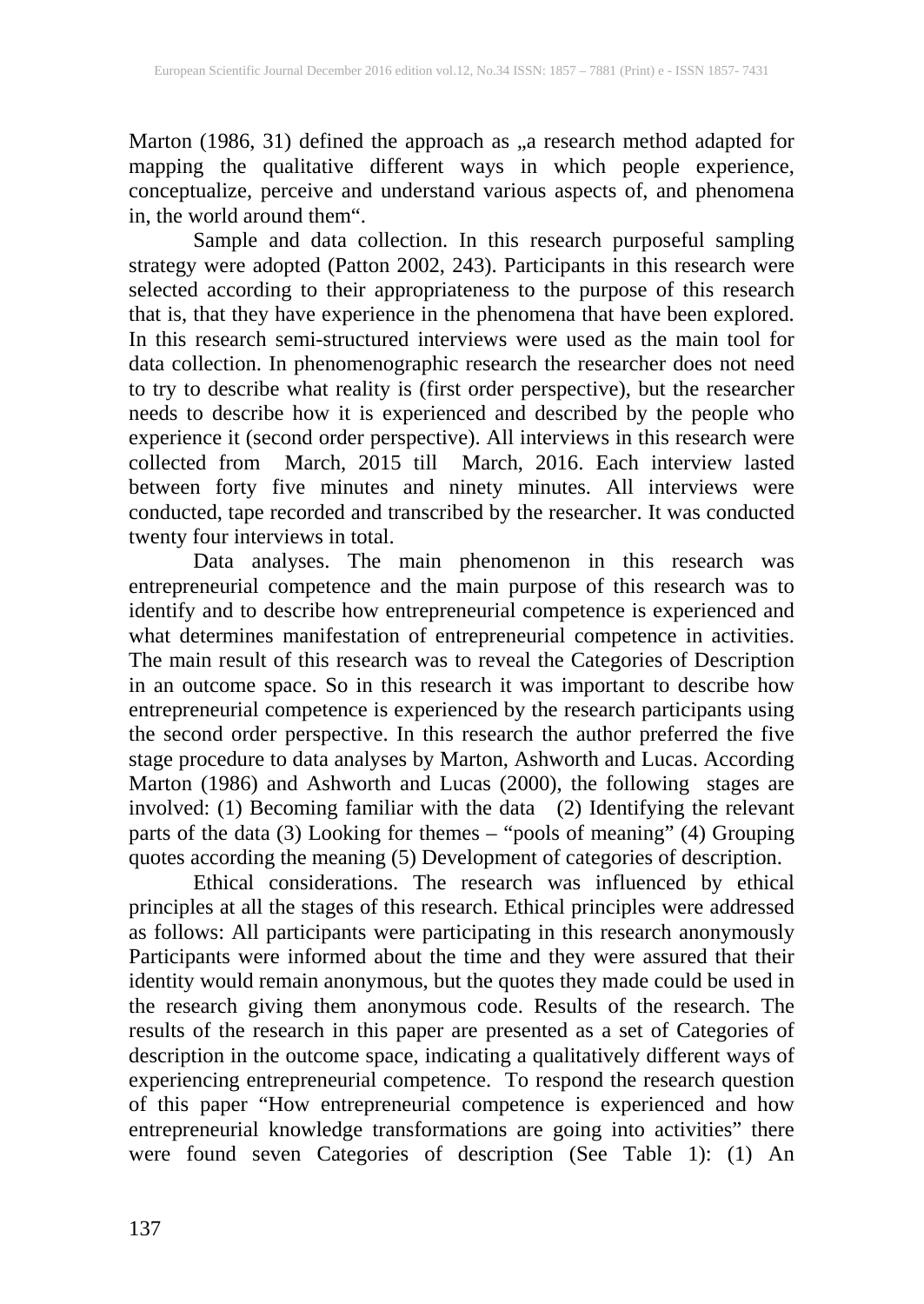Marton (1986, 31) defined the approach as "a research method adapted for mapping the qualitative different ways in which people experience, conceptualize, perceive and understand various aspects of, and phenomena in, the world around them".

Sample and data collection. In this research purposeful sampling strategy were adopted (Patton 2002, 243). Participants in this research were selected according to their appropriateness to the purpose of this research that is, that they have experience in the phenomena that have been explored. In this research semi-structured interviews were used as the main tool for data collection. In phenomenographic research the researcher does not need to try to describe what reality is (first order perspective), but the researcher needs to describe how it is experienced and described by the people who experience it (second order perspective). All interviews in this research were collected from March, 2015 till March, 2016. Each interview lasted between forty five minutes and ninety minutes. All interviews were conducted, tape recorded and transcribed by the researcher. It was conducted twenty four interviews in total.

Data analyses. The main phenomenon in this research was entrepreneurial competence and the main purpose of this research was to identify and to describe how entrepreneurial competence is experienced and what determines manifestation of entrepreneurial competence in activities. The main result of this research was to reveal the Categories of Description in an outcome space. So in this research it was important to describe how entrepreneurial competence is experienced by the research participants using the second order perspective. In this research the author preferred the five stage procedure to data analyses by Marton, Ashworth and Lucas. According Marton (1986) and Ashworth and Lucas (2000), the following stages are involved: (1) Becoming familiar with the data (2) Identifying the relevant parts of the data (3) Looking for themes – "pools of meaning" (4) Grouping quotes according the meaning (5) Development of categories of description.

Ethical considerations. The research was influenced by ethical principles at all the stages of this research. Ethical principles were addressed as follows: All participants were participating in this research anonymously Participants were informed about the time and they were assured that their identity would remain anonymous, but the quotes they made could be used in the research giving them anonymous code. Results of the research. The results of the research in this paper are presented as a set of Categories of description in the outcome space, indicating a qualitatively different ways of experiencing entrepreneurial competence. To respond the research question of this paper "How entrepreneurial competence is experienced and how entrepreneurial knowledge transformations are going into activities" there were found seven Categories of description (See Table 1): (1) An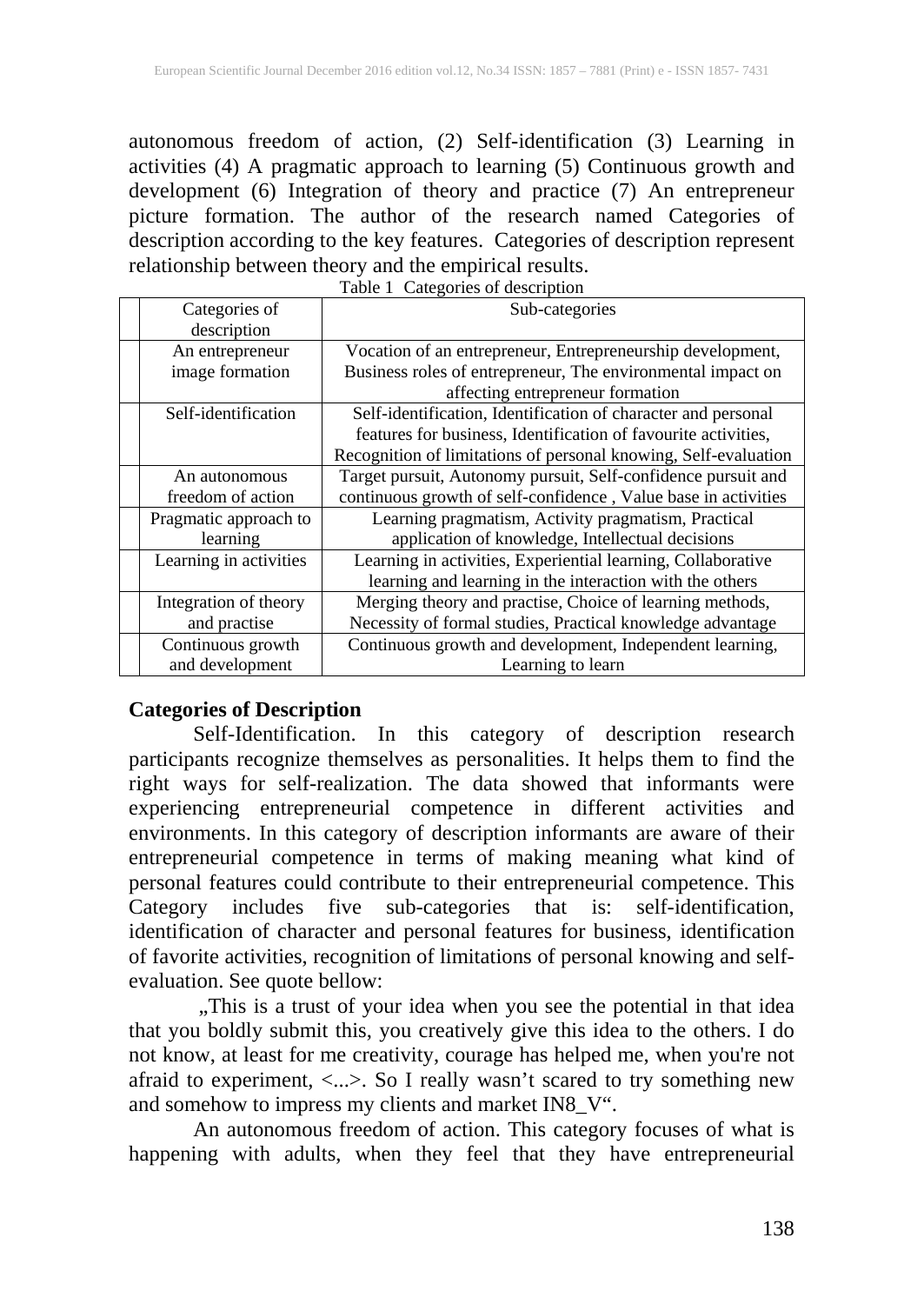autonomous freedom of action, (2) Self-identification (3) Learning in activities (4) A pragmatic approach to learning (5) Continuous growth and development (6) Integration of theory and practice (7) An entrepreneur picture formation. The author of the research named Categories of description according to the key features. Categories of description represent relationship between theory and the empirical results. Table 1 Categories of description

| Categories of          | Sub-categories                                                  |
|------------------------|-----------------------------------------------------------------|
| description            |                                                                 |
| An entrepreneur        | Vocation of an entrepreneur, Entrepreneurship development,      |
| image formation        | Business roles of entrepreneur, The environmental impact on     |
|                        | affecting entrepreneur formation                                |
| Self-identification    | Self-identification, Identification of character and personal   |
|                        | features for business, Identification of favourite activities,  |
|                        | Recognition of limitations of personal knowing, Self-evaluation |
| An autonomous          | Target pursuit, Autonomy pursuit, Self-confidence pursuit and   |
| freedom of action      | continuous growth of self-confidence, Value base in activities  |
| Pragmatic approach to  | Learning pragmatism, Activity pragmatism, Practical             |
| learning               | application of knowledge, Intellectual decisions                |
| Learning in activities | Learning in activities, Experiential learning, Collaborative    |
|                        | learning and learning in the interaction with the others        |
| Integration of theory  | Merging theory and practise, Choice of learning methods,        |
| and practise           | Necessity of formal studies, Practical knowledge advantage      |
| Continuous growth      | Continuous growth and development, Independent learning,        |
| and development        | Learning to learn                                               |

| Table 1 Categories of description |  |
|-----------------------------------|--|

### **Categories of Description**

Self-Identification. In this category of description research participants recognize themselves as personalities. It helps them to find the right ways for self-realization. The data showed that informants were experiencing entrepreneurial competence in different activities and environments. In this category of description informants are aware of their entrepreneurial competence in terms of making meaning what kind of personal features could contribute to their entrepreneurial competence. This Category includes five sub-categories that is: self-identification, identification of character and personal features for business, identification of favorite activities, recognition of limitations of personal knowing and selfevaluation. See quote bellow:

"This is a trust of your idea when you see the potential in that idea that you boldly submit this, you creatively give this idea to the others. I do not know, at least for me creativity, courage has helped me, when you're not afraid to experiment, <...>. So I really wasn't scared to try something new and somehow to impress my clients and market IN8\_V".

An autonomous freedom of action. This category focuses of what is happening with adults, when they feel that they have entrepreneurial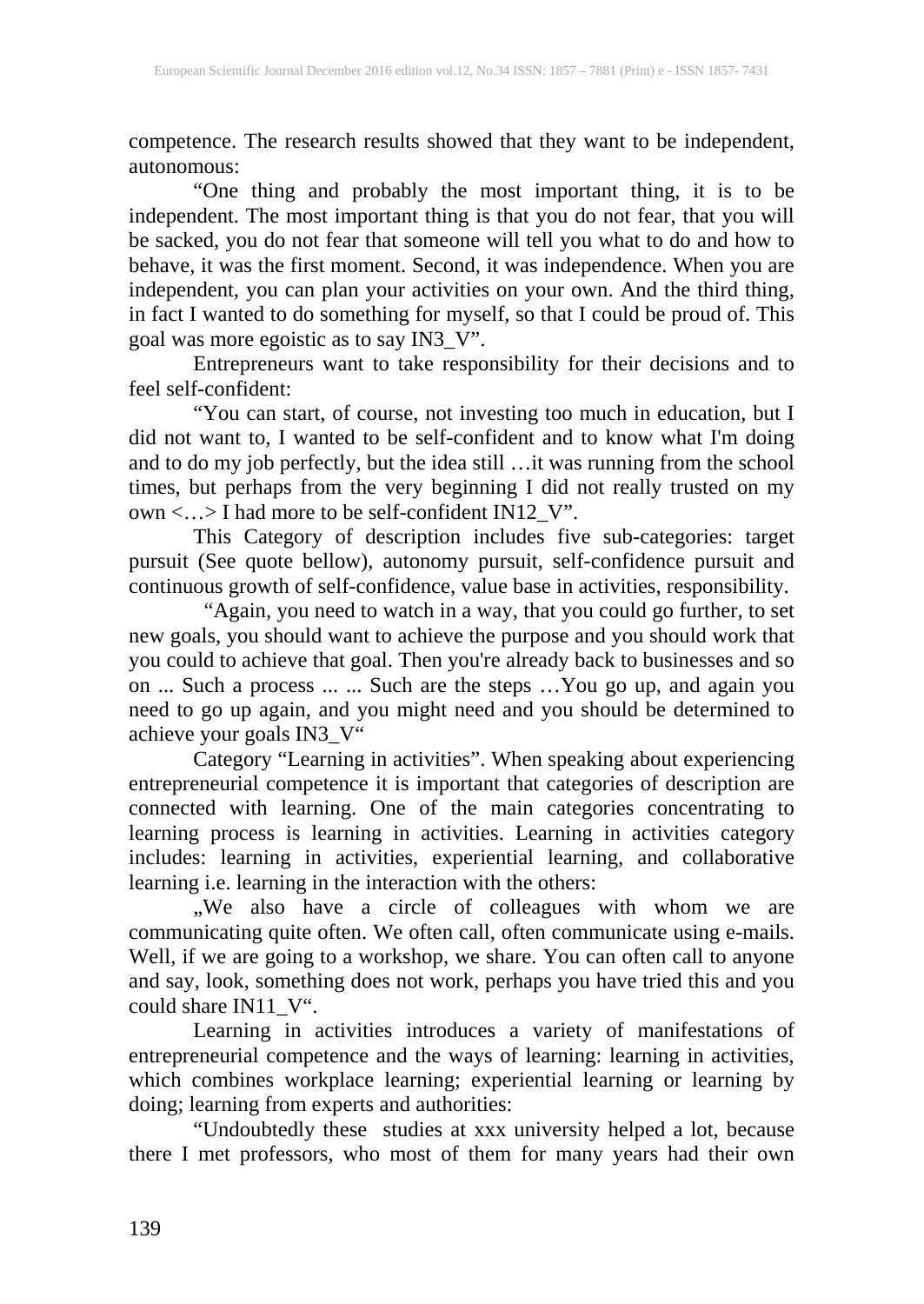competence. The research results showed that they want to be independent, autonomous:

"One thing and probably the most important thing, it is to be independent. The most important thing is that you do not fear, that you will be sacked, you do not fear that someone will tell you what to do and how to behave, it was the first moment. Second, it was independence. When you are independent, you can plan your activities on your own. And the third thing, in fact I wanted to do something for myself, so that I could be proud of. This goal was more egoistic as to say IN3\_V".

Entrepreneurs want to take responsibility for their decisions and to feel self-confident:

"You can start, of course, not investing too much in education, but I did not want to, I wanted to be self-confident and to know what I'm doing and to do my job perfectly, but the idea still …it was running from the school times, but perhaps from the very beginning I did not really trusted on my own <…> I had more to be self-confident IN12\_V".

This Category of description includes five sub-categories: target pursuit (See quote bellow), autonomy pursuit, self-confidence pursuit and continuous growth of self-confidence, value base in activities, responsibility.

 "Again, you need to watch in a way, that you could go further, to set new goals, you should want to achieve the purpose and you should work that you could to achieve that goal. Then you're already back to businesses and so on ... Such a process ... ... Such are the steps …You go up, and again you need to go up again, and you might need and you should be determined to achieve your goals IN3\_V"

Category "Learning in activities". When speaking about experiencing entrepreneurial competence it is important that categories of description are connected with learning. One of the main categories concentrating to learning process is learning in activities. Learning in activities category includes: learning in activities, experiential learning, and collaborative learning i.e. learning in the interaction with the others:

, We also have a circle of colleagues with whom we are communicating quite often. We often call, often communicate using e-mails. Well, if we are going to a workshop, we share. You can often call to anyone and say, look, something does not work, perhaps you have tried this and you could share IN11\_V".

Learning in activities introduces a variety of manifestations of entrepreneurial competence and the ways of learning: learning in activities, which combines workplace learning; experiential learning or learning by doing; learning from experts and authorities:

"Undoubtedly these studies at xxx university helped a lot, because there I met professors, who most of them for many years had their own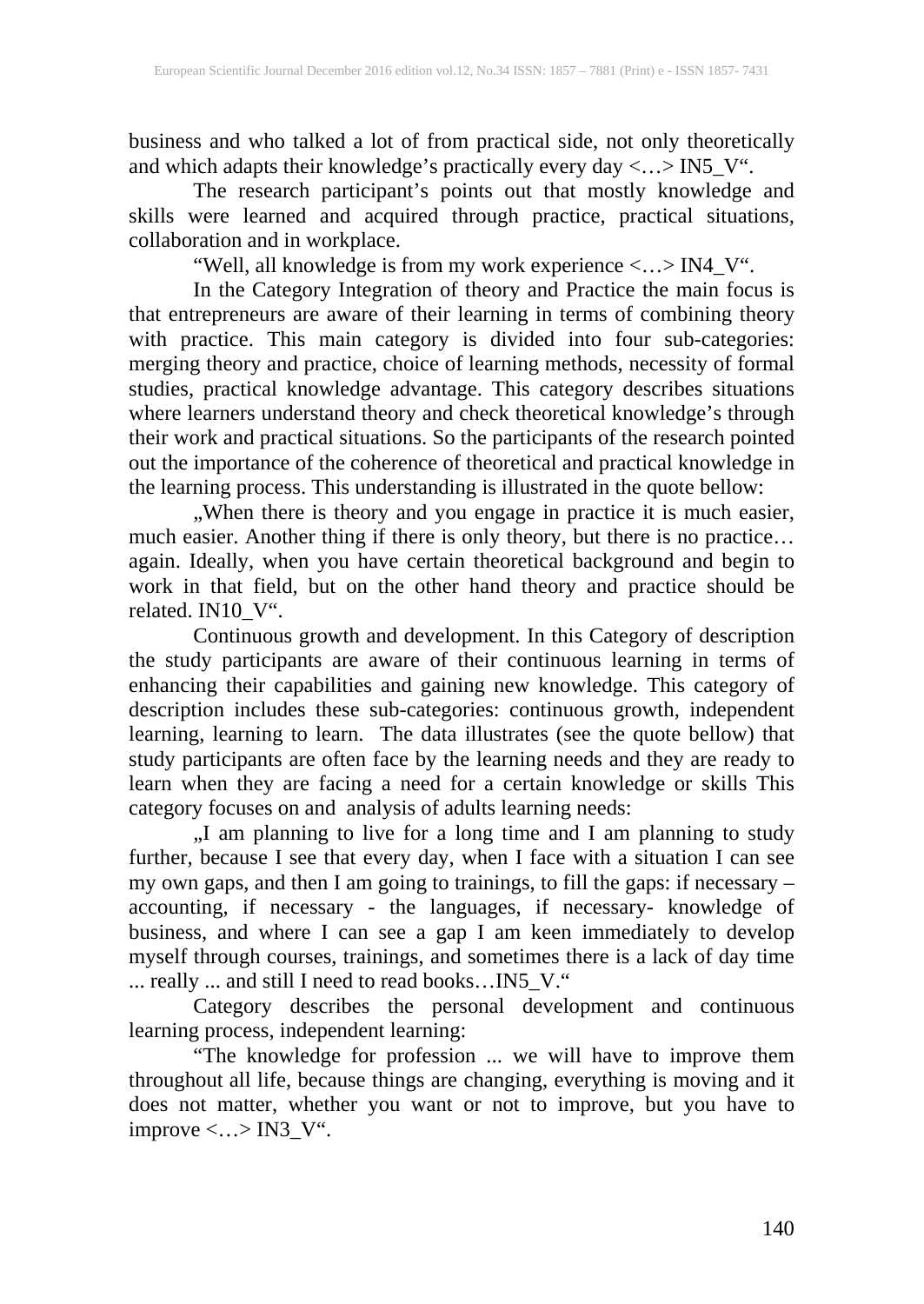business and who talked a lot of from practical side, not only theoretically and which adapts their knowledge's practically every day <...>  $\text{IN5\_V}^{\ldots}$ 

The research participant's points out that mostly knowledge and skills were learned and acquired through practice, practical situations, collaboration and in workplace.

"Well, all knowledge is from my work experience <…> IN4\_V".

In the Category Integration of theory and Practice the main focus is that entrepreneurs are aware of their learning in terms of combining theory with practice. This main category is divided into four sub-categories: merging theory and practice, choice of learning methods, necessity of formal studies, practical knowledge advantage. This category describes situations where learners understand theory and check theoretical knowledge's through their work and practical situations. So the participants of the research pointed out the importance of the coherence of theoretical and practical knowledge in the learning process. This understanding is illustrated in the quote bellow:

, When there is theory and you engage in practice it is much easier, much easier. Another thing if there is only theory, but there is no practice… again. Ideally, when you have certain theoretical background and begin to work in that field, but on the other hand theory and practice should be related. IN10\_V".

Continuous growth and development. In this Category of description the study participants are aware of their continuous learning in terms of enhancing their capabilities and gaining new knowledge. This category of description includes these sub-categories: continuous growth, independent learning, learning to learn. The data illustrates (see the quote bellow) that study participants are often face by the learning needs and they are ready to learn when they are facing a need for a certain knowledge or skills This category focuses on and analysis of adults learning needs:

, I am planning to live for a long time and I am planning to study further, because I see that every day, when I face with a situation I can see my own gaps, and then I am going to trainings, to fill the gaps: if necessary – accounting, if necessary - the languages, if necessary- knowledge of business, and where I can see a gap I am keen immediately to develop myself through courses, trainings, and sometimes there is a lack of day time ... really ... and still I need to read books…IN5\_V."

Category describes the personal development and continuous learning process, independent learning:

"The knowledge for profession ... we will have to improve them throughout all life, because things are changing, everything is moving and it does not matter, whether you want or not to improve, but you have to improve  $\langle \ldots \rangle$  IN3\_V".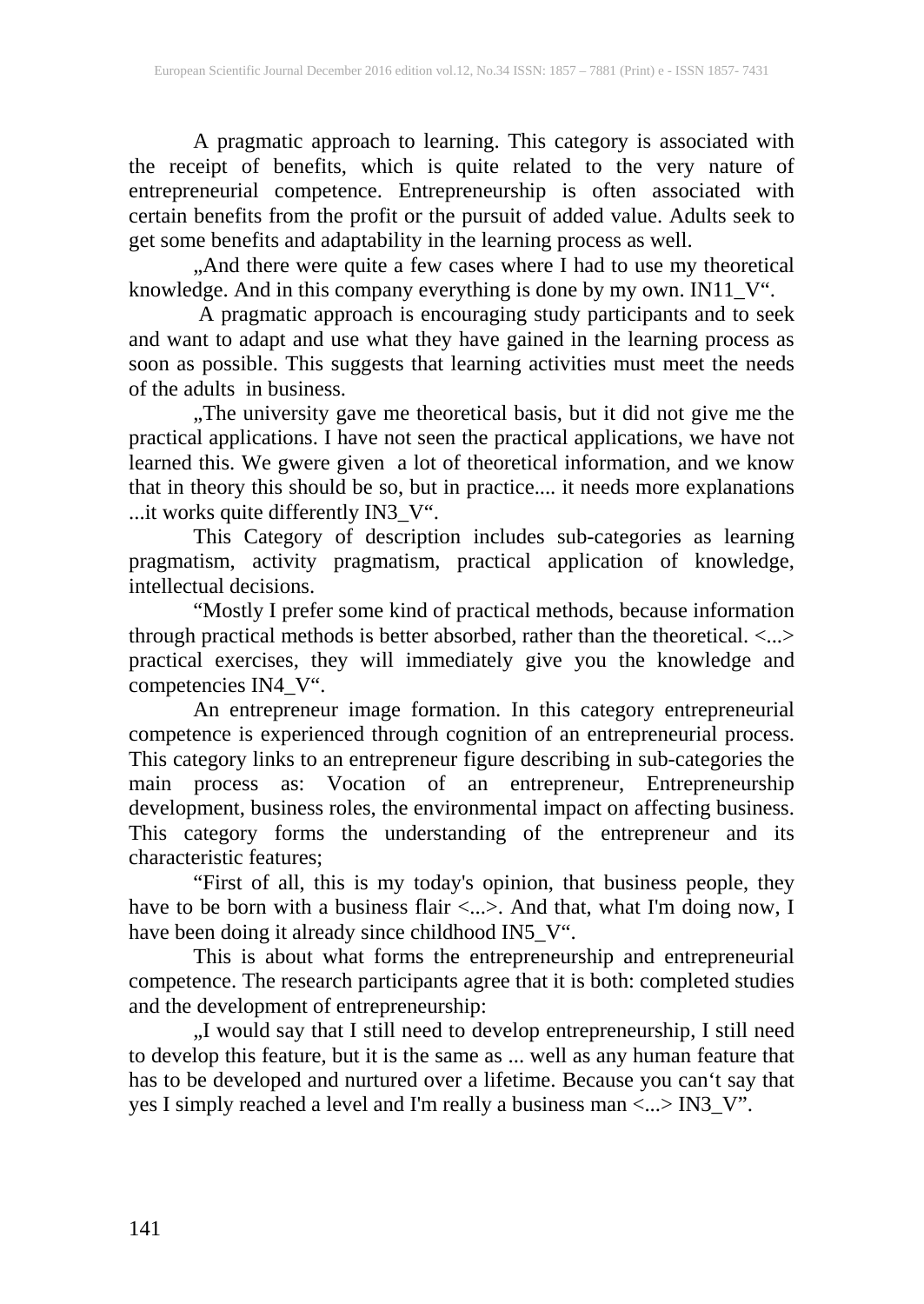A pragmatic approach to learning. This category is associated with the receipt of benefits, which is quite related to the very nature of entrepreneurial competence. Entrepreneurship is often associated with certain benefits from the profit or the pursuit of added value. Adults seek to get some benefits and adaptability in the learning process as well.

"And there were quite a few cases where I had to use my theoretical knowledge. And in this company everything is done by my own. IN11\_V".

A pragmatic approach is encouraging study participants and to seek and want to adapt and use what they have gained in the learning process as soon as possible. This suggests that learning activities must meet the needs of the adults in business.

The university gave me theoretical basis, but it did not give me the practical applications. I have not seen the practical applications, we have not learned this. We gwere given a lot of theoretical information, and we know that in theory this should be so, but in practice.... it needs more explanations ...it works quite differently IN3\_V".

This Category of description includes sub-categories as learning pragmatism, activity pragmatism, practical application of knowledge, intellectual decisions.

"Mostly I prefer some kind of practical methods, because information through practical methods is better absorbed, rather than the theoretical. <...> practical exercises, they will immediately give you the knowledge and competencies IN4\_V".

An entrepreneur image formation. In this category entrepreneurial competence is experienced through cognition of an entrepreneurial process. This category links to an entrepreneur figure describing in sub-categories the main process as: Vocation of an entrepreneur, Entrepreneurship development, business roles, the environmental impact on affecting business. This category forms the understanding of the entrepreneur and its characteristic features;

"First of all, this is my today's opinion, that business people, they have to be born with a business flair <...>. And that, what I'm doing now, I have been doing it already since childhood IN5\_V".

This is about what forms the entrepreneurship and entrepreneurial competence. The research participants agree that it is both: completed studies and the development of entrepreneurship:

"I would say that I still need to develop entrepreneurship, I still need to develop this feature, but it is the same as ... well as any human feature that has to be developed and nurtured over a lifetime. Because you can't say that yes I simply reached a level and I'm really a business man <...> IN3\_V".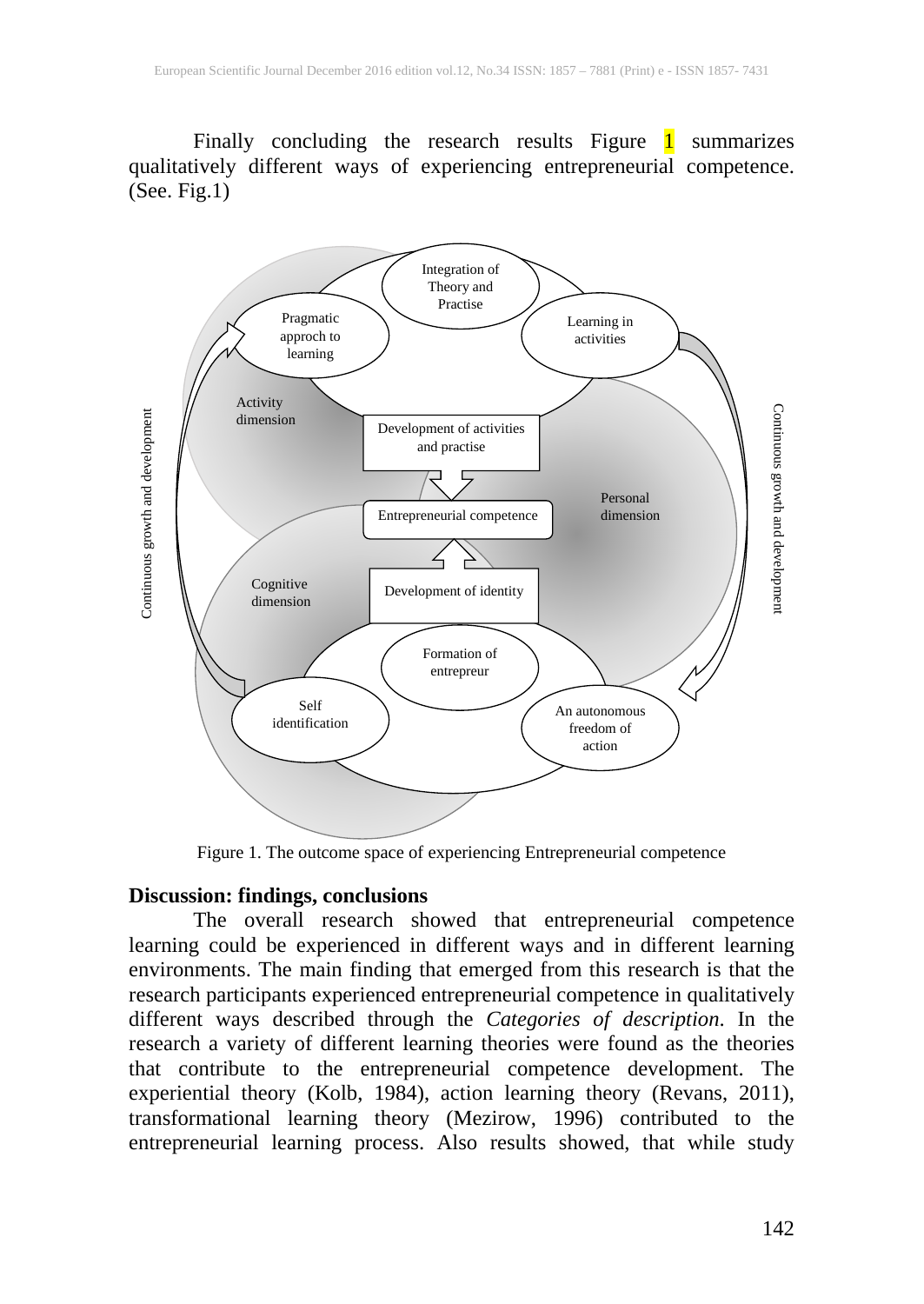Finally concluding the research results Figure 1 summarizes qualitatively different ways of experiencing entrepreneurial competence.  $(See. Fig.1)$ 



Figure 1. The outcome space of experiencing Entrepreneurial competence

### **Discussion: findings, conclusions**

The overall research showed that entrepreneurial competence learning could be experienced in different ways and in different learning environments. The main finding that emerged from this research is that the research participants experienced entrepreneurial competence in qualitatively different ways described through the *Categories of description*. In the research a variety of different learning theories were found as the theories that contribute to the entrepreneurial competence development. The experiential theory (Kolb, 1984), action learning theory (Revans, 2011), transformational learning theory (Mezirow, 1996) contributed to the entrepreneurial learning process. Also results showed, that while study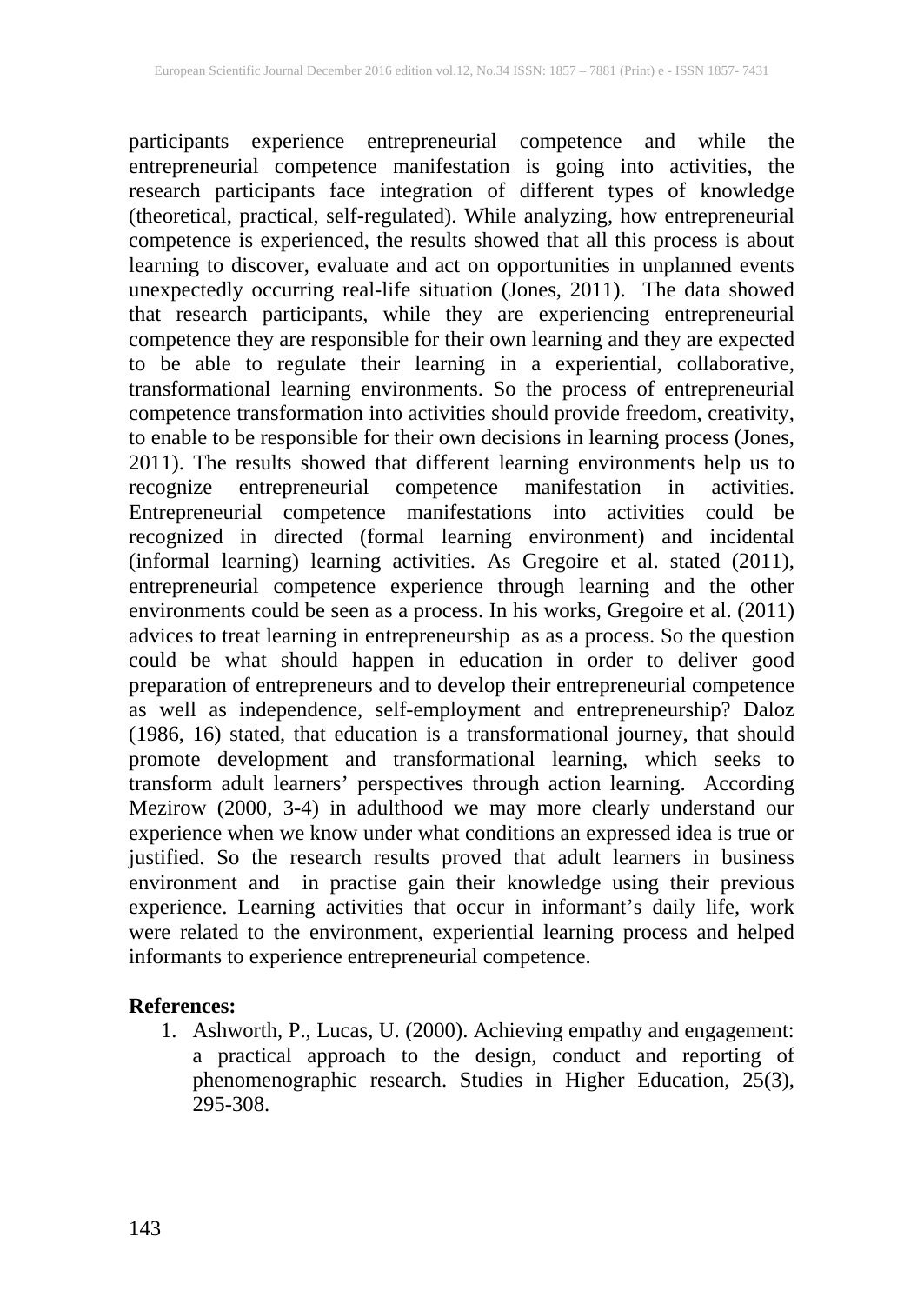participants experience entrepreneurial competence and while the entrepreneurial competence manifestation is going into activities, the research participants face integration of different types of knowledge (theoretical, practical, self-regulated). While analyzing, how entrepreneurial competence is experienced, the results showed that all this process is about learning to discover, evaluate and act on opportunities in unplanned events unexpectedly occurring real-life situation (Jones, 2011). The data showed that research participants, while they are experiencing entrepreneurial competence they are responsible for their own learning and they are expected to be able to regulate their learning in a experiential, collaborative, transformational learning environments. So the process of entrepreneurial competence transformation into activities should provide freedom, creativity, to enable to be responsible for their own decisions in learning process (Jones, 2011). The results showed that different learning environments help us to recognize entrepreneurial competence manifestation in activities. Entrepreneurial competence manifestations into activities could be recognized in directed (formal learning environment) and incidental (informal learning) learning activities. As Gregoire et al. stated (2011), entrepreneurial competence experience through learning and the other environments could be seen as a process. In his works, Gregoire et al. (2011) advices to treat learning in entrepreneurship as as a process. So the question could be what should happen in education in order to deliver good preparation of entrepreneurs and to develop their entrepreneurial competence as well as independence, self-employment and entrepreneurship? Daloz (1986, 16) stated, that education is a transformational journey, that should promote development and transformational learning, which seeks to transform adult learners' perspectives through action learning. According Mezirow (2000, 3-4) in adulthood we may more clearly understand our experience when we know under what conditions an expressed idea is true or justified. So the research results proved that adult learners in business environment and in practise gain their knowledge using their previous experience. Learning activities that occur in informant's daily life, work were related to the environment, experiential learning process and helped informants to experience entrepreneurial competence.

### **References:**

1. Ashworth, P., Lucas, U. (2000). Achieving empathy and engagement: a practical approach to the design, conduct and reporting of phenomenographic research. Studies in Higher Education, 25(3), 295-308.